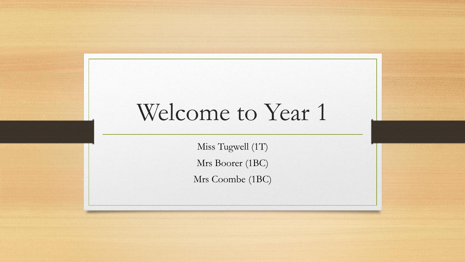# Welcome to Year 1

Miss Tugwell (1T) Mrs Boorer (1BC) Mrs Coombe (1BC)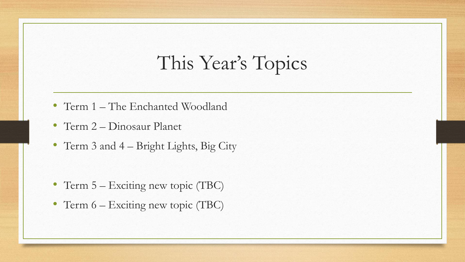### This Year's Topics

- Term 1 The Enchanted Woodland
- Term 2 Dinosaur Planet
- Term 3 and 4 Bright Lights, Big City

- Term 5 Exciting new topic (TBC)
- Term 6 Exciting new topic (TBC)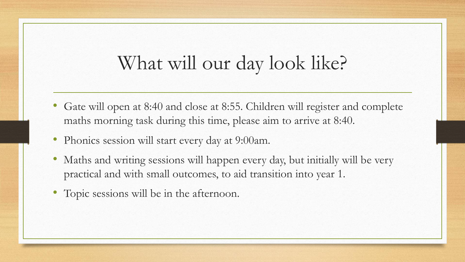### What will our day look like?

- Gate will open at 8:40 and close at 8:55. Children will register and complete maths morning task during this time, please aim to arrive at 8:40.
- Phonics session will start every day at 9:00am.
- Maths and writing sessions will happen every day, but initially will be very practical and with small outcomes, to aid transition into year 1.
- Topic sessions will be in the afternoon.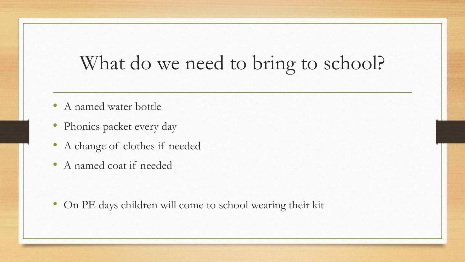### What do we need to bring to school?

- A named water bottle
- Phonics packet every day
- A change of clothes if needed
- A named coat if needed

• On PE days children will come to school wearing their kit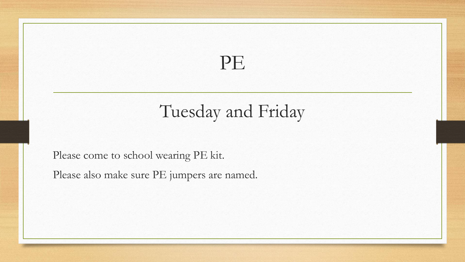#### PE

#### Tuesday and Friday

Please come to school wearing PE kit.

Please also make sure PE jumpers are named.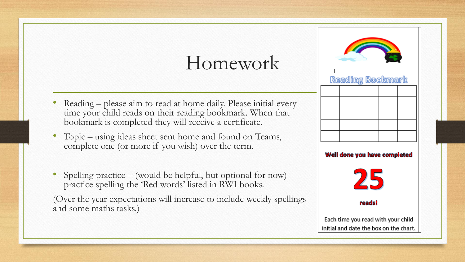### Homework

- Reading please aim to read at home daily. Please initial every time your child reads on their reading bookmark. When that bookmark is completed they will receive a certificate.
- Topic using ideas sheet sent home and found on Teams, complete one (or more if you wish) over the term.
- Spelling practice (would be helpful, but optional for now) practice spelling the 'Red words' listed in RWI books.

(Over the year expectations will increase to include weekly spellings and some maths tasks.)

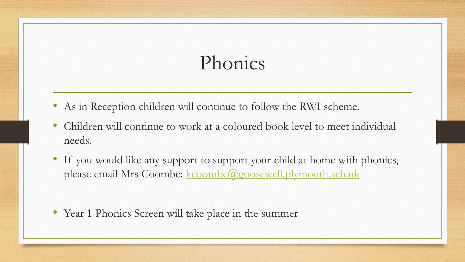## Phonics

- As in Reception children will continue to follow the RWI scheme.
- Children will continue to work at a coloured book level to meet individual needs.
- If you would like any support to support your child at home with phonics, please email Mrs Coombe: [kcoombe@goosewell.plymouth.sch.uk](mailto:kcoombe@goosewell.Plymouth.sch.uk)

• Year 1 Phonics Screen will take place in the summer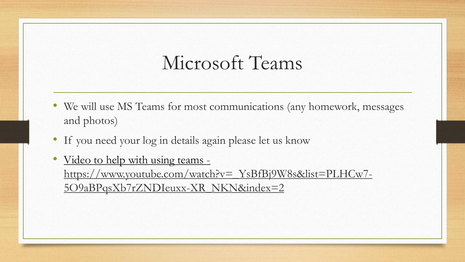#### Microsoft Teams

- We will use MS Teams for most communications (any homework, messages and photos)
- If you need your log in details again please let us know
- Video to help with using teams [https://www.youtube.com/watch?v=\\_YsBfBj9W8s&list=PLHCw7-](https://www.youtube.com/watch?v=_YsBfBj9W8s&list=PLHCw7-5O9aBPqsXb7rZNDIeuxx-XR_NKN&index=2) 5O9aBPqsXb7rZNDIeuxx-XR\_NKN&index=2